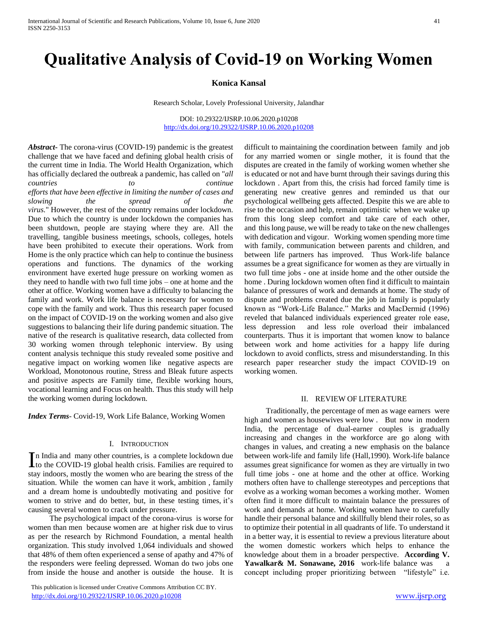# **Qualitative Analysis of Covid-19 on Working Women**

### **Konica Kansal**

Research Scholar, Lovely Professional University, Jalandhar

DOI: 10.29322/IJSRP.10.06.2020.p10208 <http://dx.doi.org/10.29322/IJSRP.10.06.2020.p10208>

*Abstract***-** The corona-virus (COVID-19) pandemic is the greatest challenge that we have faced and defining global health crisis of the current time in India. The World Health Organization, which has officially declared the outbreak a pandemic, has called on "*all countries to continue efforts that have been effective in limiting the number of cases and slowing the spread of the virus.*" However, the rest of the country remains under lockdown. Due to which the country is under lockdown the companies has been shutdown, people are staying where they are. All the travelling, tangible business meetings, schools, colleges, hotels have been prohibited to execute their operations. Work from Home is the only practice which can help to continue the business operations and functions. The dynamics of the working environment have exerted huge pressure on working women as they need to handle with two full time jobs – one at home and the other at office. Working women have a difficulty to balancing the family and work. Work life balance is necessary for women to cope with the family and work. Thus this research paper focused on the impact of COVID-19 on the working women and also give suggestions to balancing their life during pandemic situation. The native of the research is qualitative research, data collected from 30 working women through telephonic interview. By using content analysis technique this study revealed some positive and negative impact on working women like negative aspects are Workload, Monotonous routine, Stress and Bleak future aspects and positive aspects are Family time, flexible working hours, vocational learning and Focus on health. Thus this study will help the working women during lockdown.

*Index Terms*- Covid-19, Work Life Balance, Working Women

#### I. INTRODUCTION

n India and many other countries, is a complete lockdown due In India and many other countries, is a complete lockdown due<br>to the COVID-19 global health crisis. Families are required to stay indoors, mostly the women who are bearing the stress of the situation. While the women can have it work, ambition , family and a dream home is undoubtedly motivating and positive for women to strive and do better, but, in these testing times, it's causing several women to crack under pressure.

 The psychological impact of the corona-virus is worse for women than men because women are at higher risk due to virus as per the research by Richmond Foundation, a mental health organization. This study involved 1,064 individuals and showed that 48% of them often experienced a sense of apathy and 47% of the responders were feeling depressed. Woman do two jobs one from inside the house and another is outside the house. It is

 This publication is licensed under Creative Commons Attribution CC BY. <http://dx.doi.org/10.29322/IJSRP.10.06.2020.p10208> [www.ijsrp.org](http://ijsrp.org/)

difficult to maintaining the coordination between family and job for any married women or single mother, it is found that the disputes are created in the family of working women whether she is educated or not and have burnt through their savings during this lockdown . Apart from this, the crisis had forced family time is generating new creative genres and reminded us that our psychological wellbeing gets affected. Despite this we are able to rise to the occasion and help, remain optimistic when we wake up from this long sleep comfort and take care of each other, and this long pause, we will be ready to take on the new challenges with dedication and vigour. Working women spending more time with family, communication between parents and children, and between life partners has improved. Thus Work-life balance assumes be a great significance for women as they are virtually in two full time jobs - one at inside home and the other outside the home . During lockdown women often find it difficult to maintain balance of pressures of work and demands at home. The study of dispute and problems created due the job in family is popularly known as "Work-Life Balance." Marks and MacDermid (1996) reveled that balanced individuals experienced greater role ease, less depression and less role overload their imbalanced counterparts. Thus it is important that women know to balance between work and home activities for a happy life during lockdown to avoid conflicts, stress and misunderstanding. In this research paper researcher study the impact COVID-19 on working women.

#### II. REVIEW OF LITERATURE

 Traditionally, the percentage of men as wage earners were high and women as housewives were low . But now in modern India, the percentage of dual-earner couples is gradually increasing and changes in the workforce are go along with changes in values, and creating a new emphasis on the balance between work-life and family life (Hall,1990). Work-life balance assumes great significance for women as they are virtually in two full time jobs - one at home and the other at office. Working mothers often have to challenge stereotypes and perceptions that evolve as a working woman becomes a working mother. Women often find it more difficult to maintain balance the pressures of work and demands at home. Working women have to carefully handle their personal balance and skillfully blend their roles, so as to optimize their potential in all quadrants of life. To understand it in a better way, it is essential to review a previous literature about the women domestic workers which helps to enhance the knowledge about them in a broader perspective. **According V.**  Yawalkar& M. Sonawane, 2016 work-life balance was a concept including proper prioritizing between "lifestyle" i.e.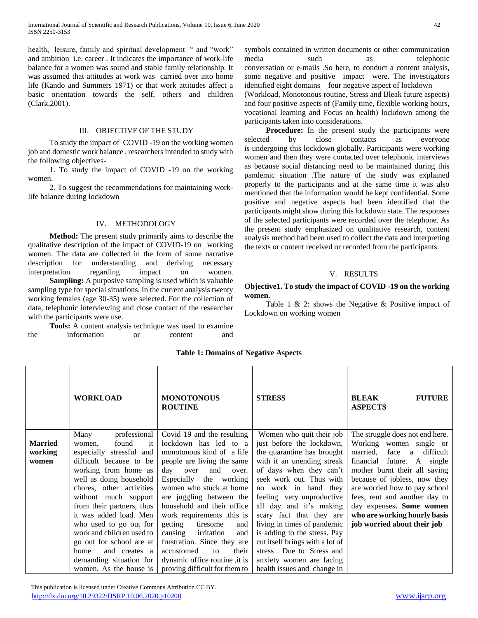health, leisure, family and spiritual development " and "work" and ambition i.e. career . It indicates the importance of work-life balance for a women was sound and stable family relationship. It was assumed that attitudes at work was carried over into home life (Kando and Summers 1971) or that work attitudes affect a basic orientation towards the self, others and children (Clark,2001).

## III. OBJECTIVE OF THE STUDY

 To study the impact of COVID -19 on the working women job and domestic work balance , researchers intended to study with the following objectives-

 1. To study the impact of COVID -19 on the working women.

 2. To suggest the recommendations for maintaining worklife balance during lockdown

## IV. METHODOLOGY

 **Method:** The present study primarily aims to describe the qualitative description of the impact of COVID-19 on working women. The data are collected in the form of some narrative description for understanding and deriving necessary interpretation regarding impact on women. **Sampling:** A purposive sampling is used which is valuable

sampling type for special situations. In the current analysis twenty working females (age 30-35) were selected. For the collection of data, telephonic interviewing and close contact of the researcher with the participants were use.

 **Tools:** A content analysis technique was used to examine the information or content and symbols contained in written documents or other communication media such as telephonic conversation or e-mails .So here, to conduct a content analysis, some negative and positive impact were. The investigators identified eight domains – four negative aspect of lockdown (Workload, Monotonous routine, Stress and Bleak future aspects) and four positive aspects of (Family time, flexible working hours, vocational learning and Focus on health) lockdown among the participants taken into considerations.

Procedure: In the present study the participants were selected by close contacts as everyone is undergoing this lockdown globally. Participants were working women and then they were contacted over telephonic interviews as because social distancing need to be maintained during this pandemic situation .The nature of the study was explained properly to the participants and at the same time it was also mentioned that the information would be kept confidential. Some positive and negative aspects had been identified that the participants might show during this lockdown state. The responses of the selected participants were recorded over the telephone. As the present study emphasized on qualitative research, content analysis method had been used to collect the data and interpreting the texts or content received or recorded from the participants.

# V. RESULTS

### **Objective1. To study the impact of COVID -19 on the working women.**

 Table 1 & 2: shows the Negative & Positive impact of Lockdown on working women

|                                    | <b>WORKLOAD</b>                                                                                                                                                                                                                                                                                                                                                                                                                     | <b>MONOTONOUS</b><br><b>ROUTINE</b>                                                                                                                                                                                                                                                                                                                                                                                                                                                   | <b>STRESS</b>                                                                                                                                                                                                                                                                                                                                                                                                                                                                  | <b>BLEAK</b><br><b>FUTURE</b><br><b>ASPECTS</b>                                                                                                                                                                                                                                                                                                              |
|------------------------------------|-------------------------------------------------------------------------------------------------------------------------------------------------------------------------------------------------------------------------------------------------------------------------------------------------------------------------------------------------------------------------------------------------------------------------------------|---------------------------------------------------------------------------------------------------------------------------------------------------------------------------------------------------------------------------------------------------------------------------------------------------------------------------------------------------------------------------------------------------------------------------------------------------------------------------------------|--------------------------------------------------------------------------------------------------------------------------------------------------------------------------------------------------------------------------------------------------------------------------------------------------------------------------------------------------------------------------------------------------------------------------------------------------------------------------------|--------------------------------------------------------------------------------------------------------------------------------------------------------------------------------------------------------------------------------------------------------------------------------------------------------------------------------------------------------------|
| <b>Married</b><br>working<br>women | professional<br>Many<br>found<br>it<br>women,<br>especially stressful and<br>difficult because to be<br>working from home as<br>well as doing household<br>chores, other activities<br>without much support<br>from their partners, thus<br>it was added load. Men<br>who used to go out for<br>work and children used to<br>go out for school are at<br>and creates a<br>home<br>demanding situation for<br>women. As the house is | Covid 19 and the resulting<br>lockdown has led to a<br>monotonous kind of a life<br>people are living the same<br>day<br>and<br>over<br>over.<br>Especially the working<br>women who stuck at home<br>are juggling between the<br>household and their office<br>work requirements this is<br>getting<br>tiresome<br>and<br>irritation<br>causing<br>and<br>frustration. Since they are<br>their<br>accustomed<br>to<br>dynamic office routine, it is<br>proving difficult for them to | Women who quit their job<br>just before the lockdown,<br>the quarantine has brought<br>with it an unending streak<br>of days when they can't<br>seek work out. Thus with<br>no work in hand they<br>feeling very unproductive<br>all day and it's making<br>scary fact that they are<br>living in times of pandemic<br>is adding to the stress. Pay<br>cut itself brings with a lot of<br>stress. Due to Stress and<br>anxiety women are facing<br>health issues and change in | The struggle does not end here.<br>Working women single or<br>difficult<br>married.<br>face<br>a<br>financial future. A single<br>mother burnt their all saving<br>because of jobless, now they<br>are worried how to pay school<br>fees, rent and another day to<br>day expenses. Some women<br>who are working hourly basis<br>job worried about their job |

**Table 1: Domains of Negative Aspects**

 This publication is licensed under Creative Commons Attribution CC BY. <http://dx.doi.org/10.29322/IJSRP.10.06.2020.p10208> [www.ijsrp.org](http://ijsrp.org/)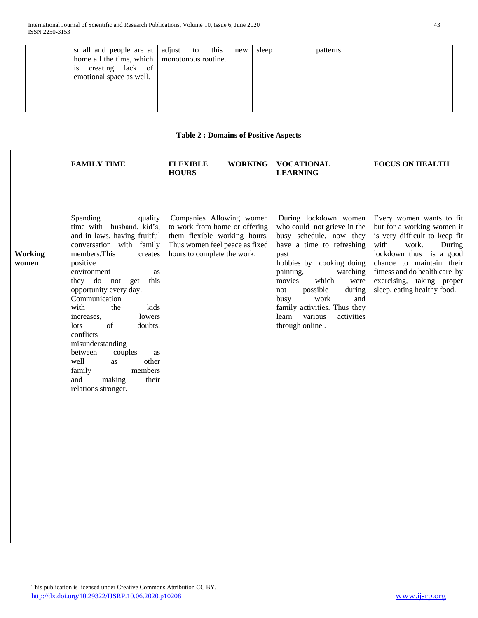# **Table 2 : Domains of Positive Aspects**

|                                                                                                                                                                                                                                                                                                                                                                                                                                                                                                                                                                                                                                                                                                                                                                                                                                                                                                                                                                                                                                          | <b>FAMILY TIME</b> | <b>FLEXIBLE</b><br><b>WORKING</b><br><b>HOURS</b> | <b>VOCATIONAL</b><br><b>LEARNING</b> | <b>FOCUS ON HEALTH</b>                                                                                                                                                                                                                                |
|------------------------------------------------------------------------------------------------------------------------------------------------------------------------------------------------------------------------------------------------------------------------------------------------------------------------------------------------------------------------------------------------------------------------------------------------------------------------------------------------------------------------------------------------------------------------------------------------------------------------------------------------------------------------------------------------------------------------------------------------------------------------------------------------------------------------------------------------------------------------------------------------------------------------------------------------------------------------------------------------------------------------------------------|--------------------|---------------------------------------------------|--------------------------------------|-------------------------------------------------------------------------------------------------------------------------------------------------------------------------------------------------------------------------------------------------------|
| Spending<br>Companies Allowing women<br>During lockdown women<br>quality<br>time with husband, kid's,<br>to work from home or offering<br>who could not grieve in the<br>and in laws, having fruitful<br>them flexible working hours.<br>busy schedule, now they<br>have a time to refreshing<br>with<br>conversation with family<br>Thus women feel peace as fixed<br>work.<br>members. This<br>hours to complete the work.<br>Working<br>past<br>creates<br>hobbies by cooking doing<br>positive<br>women<br>environment<br>painting,<br>watching<br>as<br>they do not<br>get<br>this<br>which<br>movies<br>were<br>possible<br>opportunity every day.<br>during<br>not<br>Communication<br>busy<br>work<br>and<br>family activities. Thus they<br>with<br>kids<br>the<br>lowers<br>various<br>activities<br>increases,<br>learn<br>of<br>through online.<br>lots<br>doubts,<br>conflicts<br>misunderstanding<br>between<br>couples<br>as<br>well<br>other<br>as<br>family<br>members<br>making<br>and<br>their<br>relations stronger. |                    |                                                   |                                      | Every women wants to fit<br>but for a working women it<br>is very difficult to keep fit<br>During<br>lockdown thus is a good<br>chance to maintain their<br>fitness and do health care by<br>exercising, taking proper<br>sleep, eating healthy food. |